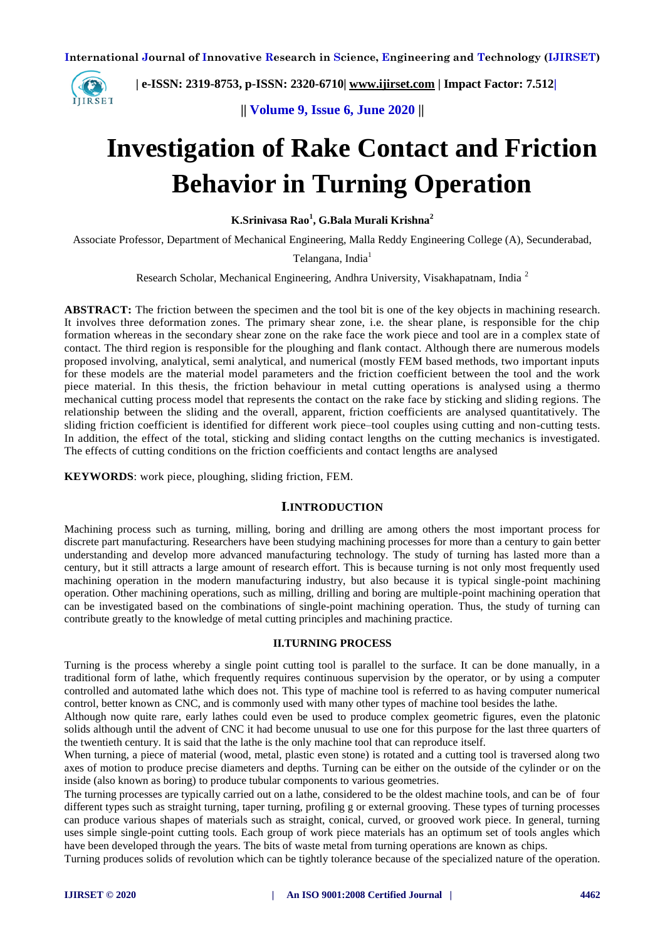

 **| e-ISSN: 2319-8753, p-ISSN: 2320-6710| [www.ijirset.com](http://www.ijirset.com/) | Impact Factor: 7.512|**

**|| Volume 9, Issue 6, June 2020 ||** 

# **Investigation of Rake Contact and Friction Behavior in Turning Operation**

**K.Srinivasa Rao<sup>1</sup> , G.Bala Murali Krishna<sup>2</sup>**

Associate Professor, Department of Mechanical Engineering, Malla Reddy Engineering College (A), Secunderabad,

Telangana, India<sup>1</sup>

Research Scholar, Mechanical Engineering, Andhra University, Visakhapatnam, India <sup>2</sup>

**ABSTRACT:** The friction between the specimen and the tool bit is one of the key objects in machining research. It involves three deformation zones. The primary shear zone, i.e. the shear plane, is responsible for the chip formation whereas in the secondary shear zone on the rake face the work piece and tool are in a complex state of contact. The third region is responsible for the ploughing and flank contact. Although there are numerous models proposed involving, analytical, semi analytical, and numerical (mostly FEM based methods, two important inputs for these models are the material model parameters and the friction coefficient between the tool and the work piece material. In this thesis, the friction behaviour in metal cutting operations is analysed using a thermo mechanical cutting process model that represents the contact on the rake face by sticking and sliding regions. The relationship between the sliding and the overall, apparent, friction coefficients are analysed quantitatively. The sliding friction coefficient is identified for different work piece–tool couples using cutting and non-cutting tests. In addition, the effect of the total, sticking and sliding contact lengths on the cutting mechanics is investigated. The effects of cutting conditions on the friction coefficients and contact lengths are analysed

**KEYWORDS**: work piece, ploughing, sliding friction, FEM.

## **I.INTRODUCTION**

Machining process such as turning, milling, boring and drilling are among others the most important process for discrete part manufacturing. Researchers have been studying machining processes for more than a century to gain better understanding and develop more advanced manufacturing technology. The study of turning has lasted more than a century, but it still attracts a large amount of research effort. This is because turning is not only most frequently used machining operation in the modern manufacturing industry, but also because it is typical single-point machining operation. Other machining operations, such as milling, drilling and boring are multiple-point machining operation that can be investigated based on the combinations of single-point machining operation. Thus, the study of turning can contribute greatly to the knowledge of metal cutting principles and machining practice.

#### **II.TURNING PROCESS**

Turning is the process whereby a single point cutting tool is parallel to the surface. It can be done manually, in a traditional form of lathe, which frequently requires continuous supervision by the operator, or by using a computer controlled and automated lathe which does not. This type of machine tool is referred to as having computer numerical control, better known as CNC, and is commonly used with many other types of machine tool besides the lathe.

Although now quite rare, early lathes could even be used to produce complex geometric figures, even the platonic solids although until the advent of CNC it had become unusual to use one for this purpose for the last three quarters of the twentieth century. It is said that the lathe is the only machine tool that can reproduce itself.

When turning, a piece of material (wood, metal, plastic even stone) is rotated and a cutting tool is traversed along two axes of motion to produce precise diameters and depths. Turning can be either on the outside of the cylinder or on the inside (also known as boring) to produce tubular components to various geometries.

The turning processes are typically carried out on a lathe, considered to be the oldest machine tools, and can be of four different types such as straight turning, taper turning, profiling g or external grooving. These types of turning processes can produce various shapes of materials such as straight, conical, curved, or grooved work piece. In general, turning uses simple single-point cutting tools. Each group of work piece materials has an optimum set of tools angles which have been developed through the years. The bits of waste metal from turning operations are known as chips.

Turning produces solids of revolution which can be tightly tolerance because of the specialized nature of the operation.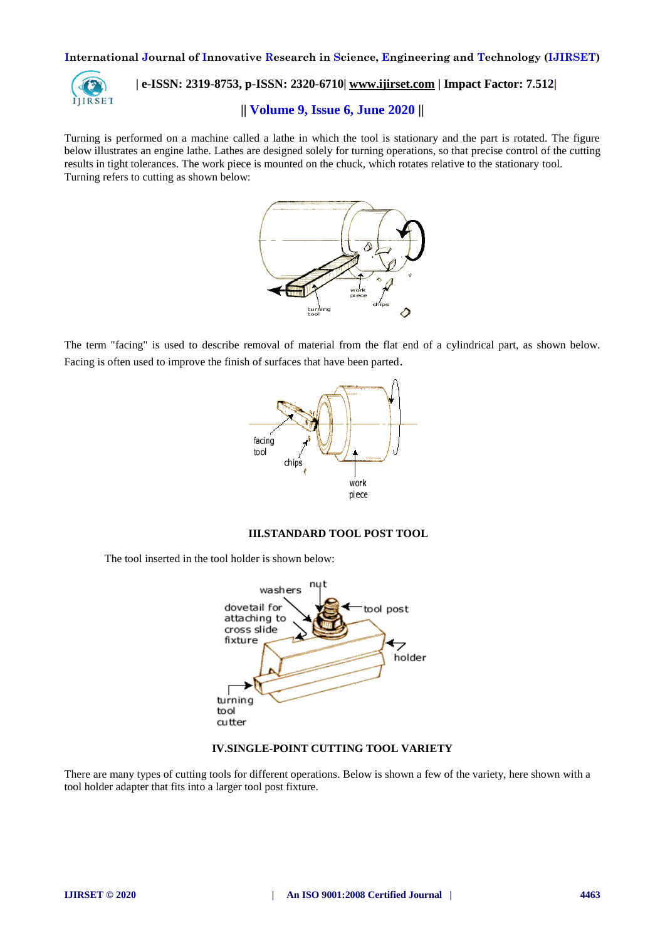

# **| e-ISSN: 2319-8753, p-ISSN: 2320-6710| [www.ijirset.com](http://www.ijirset.com/) | Impact Factor: 7.512|**

## **|| Volume 9, Issue 6, June 2020 ||**

Turning is performed on a machine called a lathe in which the tool is stationary and the part is rotated. The figure below illustrates an engine lathe. Lathes are designed solely for turning operations, so that precise control of the cutting results in tight tolerances. The work piece is mounted on the chuck, which rotates relative to the stationary tool. Turning refers to cutting as shown below:



The term "facing" is used to describe removal of material from the flat end of a cylindrical part, as shown below. Facing is often used to improve the finish of surfaces that have been parted.



#### **III.STANDARD TOOL POST TOOL**

The tool inserted in the tool holder is shown below:



#### **IV.SINGLE-POINT CUTTING TOOL VARIETY**

There are many types of cutting tools for different operations. Below is shown a few of the variety, here shown with a tool holder adapter that fits into a larger tool post fixture.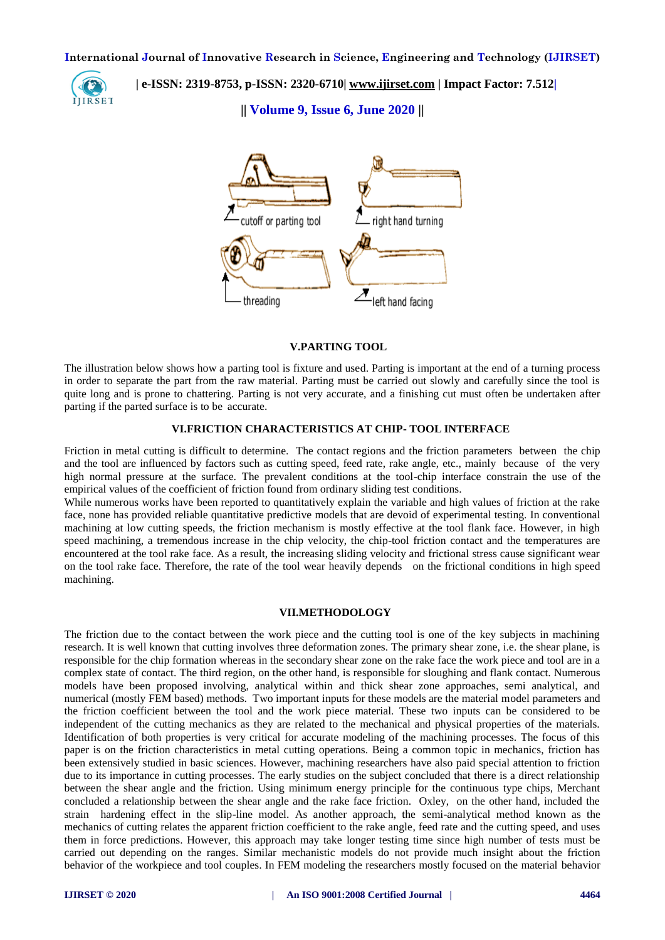

 **| e-ISSN: 2319-8753, p-ISSN: 2320-6710| [www.ijirset.com](http://www.ijirset.com/) | Impact Factor: 7.512|**

**|| Volume 9, Issue 6, June 2020 ||** 



#### **V.PARTING TOOL**

The illustration below shows how a parting tool is fixture and used. Parting is important at the end of a turning process in order to separate the part from the raw material. Parting must be carried out slowly and carefully since the tool is quite long and is prone to chattering. Parting is not very accurate, and a finishing cut must often be undertaken after parting if the parted surface is to be accurate.

## **VI.FRICTION CHARACTERISTICS AT CHIP- TOOL INTERFACE**

Friction in metal cutting is difficult to determine. The contact regions and the friction parameters between the chip and the tool are influenced by factors such as cutting speed, feed rate, rake angle, etc., mainly because of the very high normal pressure at the surface. The prevalent conditions at the tool-chip interface constrain the use of the empirical values of the coefficient of friction found from ordinary sliding test conditions.

While numerous works have been reported to quantitatively explain the variable and high values of friction at the rake face, none has provided reliable quantitative predictive models that are devoid of experimental testing. In conventional machining at low cutting speeds, the friction mechanism is mostly effective at the tool flank face. However, in high speed machining, a tremendous increase in the chip velocity, the chip-tool friction contact and the temperatures are encountered at the tool rake face. As a result, the increasing sliding velocity and frictional stress cause significant wear on the tool rake face. Therefore, the rate of the tool wear heavily depends on the frictional conditions in high speed machining.

#### **VII.METHODOLOGY**

The friction due to the contact between the work piece and the cutting tool is one of the key subjects in machining research. It is well known that cutting involves three deformation zones. The primary shear zone, i.e. the shear plane, is responsible for the chip formation whereas in the secondary shear zone on the rake face the work piece and tool are in a complex state of contact. The third region, on the other hand, is responsible for sloughing and flank contact. Numerous models have been proposed involving, analytical within and thick shear zone approaches, semi analytical, and numerical (mostly FEM based) methods. Two important inputs for these models are the material model parameters and the friction coefficient between the tool and the work piece material. These two inputs can be considered to be independent of the cutting mechanics as they are related to the mechanical and physical properties of the materials. Identification of both properties is very critical for accurate modeling of the machining processes. The focus of this paper is on the friction characteristics in metal cutting operations. Being a common topic in mechanics, friction has been extensively studied in basic sciences. However, machining researchers have also paid special attention to friction due to its importance in cutting processes. The early studies on the subject concluded that there is a direct relationship between the shear angle and the friction. Using minimum energy principle for the continuous type chips, Merchant concluded a relationship between the shear angle and the rake face friction. Oxley, on the other hand, included the strain hardening effect in the slip-line model. As another approach, the semi-analytical method known as the mechanics of cutting relates the apparent friction coefficient to the rake angle, feed rate and the cutting speed, and uses them in force predictions. However, this approach may take longer testing time since high number of tests must be carried out depending on the ranges. Similar mechanistic models do not provide much insight about the friction behavior of the workpiece and tool couples. In FEM modeling the researchers mostly focused on the material behavior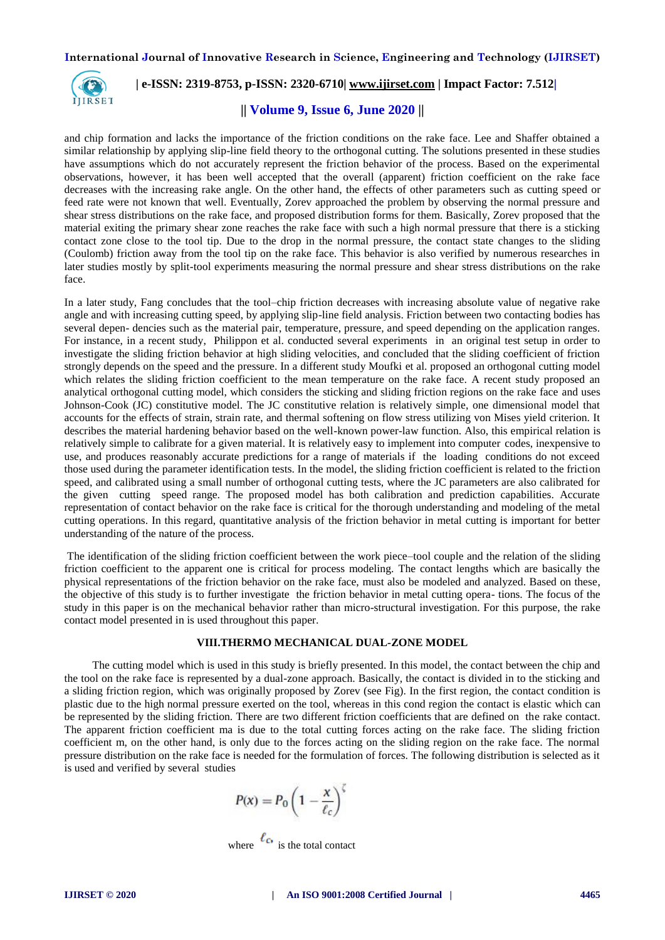

## **| e-ISSN: 2319-8753, p-ISSN: 2320-6710| [www.ijirset.com](http://www.ijirset.com/) | Impact Factor: 7.512|**

## **|| Volume 9, Issue 6, June 2020 ||**

and chip formation and lacks the importance of the friction conditions on the rake face. Lee and Shaffer obtained a similar relationship by applying slip-line field theory to the orthogonal cutting. The solutions presented in these studies have assumptions which do not accurately represent the friction behavior of the process. Based on the experimental observations, however, it has been well accepted that the overall (apparent) friction coefficient on the rake face decreases with the increasing rake angle. On the other hand, the effects of other parameters such as cutting speed or feed rate were not known that well. Eventually, Zorev approached the problem by observing the normal pressure and shear stress distributions on the rake face, and proposed distribution forms for them. Basically, Zorev proposed that the material exiting the primary shear zone reaches the rake face with such a high normal pressure that there is a sticking contact zone close to the tool tip. Due to the drop in the normal pressure, the contact state changes to the sliding (Coulomb) friction away from the tool tip on the rake face. This behavior is also verified by numerous researches in later studies mostly by split-tool experiments measuring the normal pressure and shear stress distributions on the rake face.

In a later study, Fang concludes that the tool–chip friction decreases with increasing absolute value of negative rake angle and with increasing cutting speed, by applying slip-line field analysis. Friction between two contacting bodies has several depen- dencies such as the material pair, temperature, pressure, and speed depending on the application ranges. For instance, in a recent study, Philippon et al. conducted several experiments in an original test setup in order to investigate the sliding friction behavior at high sliding velocities, and concluded that the sliding coefficient of friction strongly depends on the speed and the pressure. In a different study Moufki et al. proposed an orthogonal cutting model which relates the sliding friction coefficient to the mean temperature on the rake face. A recent study proposed an analytical orthogonal cutting model, which considers the sticking and sliding friction regions on the rake face and uses Johnson-Cook (JC) constitutive model. The JC constitutive relation is relatively simple, one dimensional model that accounts for the effects of strain, strain rate, and thermal softening on flow stress utilizing von Mises yield criterion. It describes the material hardening behavior based on the well-known power-law function. Also, this empirical relation is relatively simple to calibrate for a given material. It is relatively easy to implement into computer codes, inexpensive to use, and produces reasonably accurate predictions for a range of materials if the loading conditions do not exceed those used during the parameter identification tests. In the model, the sliding friction coefficient is related to the friction speed, and calibrated using a small number of orthogonal cutting tests, where the JC parameters are also calibrated for the given cutting speed range. The proposed model has both calibration and prediction capabilities. Accurate representation of contact behavior on the rake face is critical for the thorough understanding and modeling of the metal cutting operations. In this regard, quantitative analysis of the friction behavior in metal cutting is important for better understanding of the nature of the process.

The identification of the sliding friction coefficient between the work piece–tool couple and the relation of the sliding friction coefficient to the apparent one is critical for process modeling. The contact lengths which are basically the physical representations of the friction behavior on the rake face, must also be modeled and analyzed. Based on these, the objective of this study is to further investigate the friction behavior in metal cutting opera- tions. The focus of the study in this paper is on the mechanical behavior rather than micro-structural investigation. For this purpose, the rake contact model presented in is used throughout this paper.

#### **VIII.THERMO MECHANICAL DUAL-ZONE MODEL**

The cutting model which is used in this study is briefly presented. In this model, the contact between the chip and the tool on the rake face is represented by a dual-zone approach. Basically, the contact is divided in to the sticking and a sliding friction region, which was originally proposed by Zorev (see Fig). In the first region, the contact condition is plastic due to the high normal pressure exerted on the tool, whereas in this cond region the contact is elastic which can be represented by the sliding friction. There are two different friction coefficients that are defined on the rake contact. The apparent friction coefficient ma is due to the total cutting forces acting on the rake face. The sliding friction coefficient m, on the other hand, is only due to the forces acting on the sliding region on the rake face. The normal pressure distribution on the rake face is needed for the formulation of forces. The following distribution is selected as it is used and verified by several studies

$$
P(x) = P_0 \left( 1 - \frac{x}{\ell_c} \right)^{\zeta}
$$

where  $\ell_{\text{c}}$  is the total contact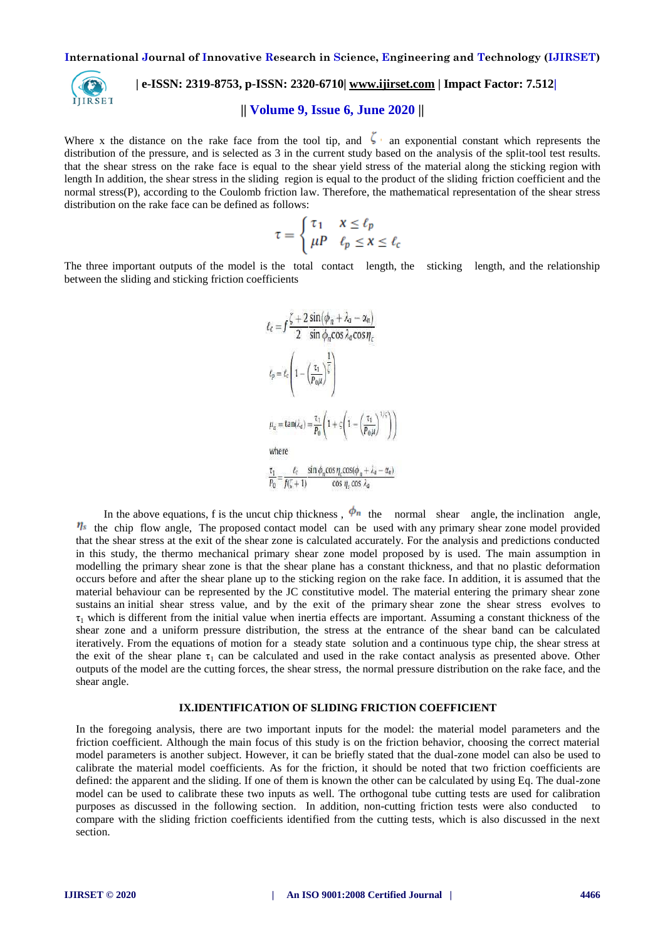

# **| e-ISSN: 2319-8753, p-ISSN: 2320-6710| [www.ijirset.com](http://www.ijirset.com/) | Impact Factor: 7.512|**

#### **|| Volume 9, Issue 6, June 2020 ||**

Where x the distance on the rake face from the tool tip, and  $\zeta$  an exponential constant which represents the distribution of the pressure, and is selected as 3 in the current study based on the analysis of the split-tool test results. that the shear stress on the rake face is equal to the shear yield stress of the material along the sticking region with length In addition, the shear stress in the sliding region is equal to the product of the sliding friction coefficient and the normal stress(P), according to the Coulomb friction law. Therefore, the mathematical representation of the shear stress distribution on the rake face can be defined as follows:

$$
\tau = \begin{cases} \tau_1 & x \le \ell_p \\ \mu P & \ell_p \le x \le \ell_c \end{cases}
$$

The three important outputs of the model is the total contact length, the sticking length, and the relationship between the sliding and sticking friction coefficients

$$
\ell_c = f \frac{\zeta + 2 \sin(\phi_n + \lambda_a - \alpha_n)}{2 \sin \phi_n \cos \lambda_a \cos \eta_c}
$$
  
\n
$$
\ell_p = \ell_c \left( 1 - \left( \frac{\tau_1}{p_{0\mu}} \right)^{\frac{1}{\zeta}} \right)
$$
  
\n
$$
\mu_a = \tan(\lambda_a) = \frac{\tau_1}{p_0} \left( 1 + \varsigma \left( 1 - \left( \frac{\tau_1}{p_{0\mu}} \right)^{1/\varsigma} \right) \right)
$$
  
\nwhere  
\n
$$
\frac{\tau_1}{p_0} = \frac{\ell_c}{f(\zeta + 1)} \frac{\sin \phi_n \cos \eta_c \cos(\phi_n + \lambda_a - \alpha_n)}{\cos \eta_s \cos \lambda_a}
$$

In the above equations, f is the uncut chip thickness,  $\phi_n$  the normal shear angle, the inclination angle,  $\eta_s$  the chip flow angle, The proposed contact model can be used with any primary shear zone model provided that the shear stress at the exit of the shear zone is calculated accurately. For the analysis and predictions conducted in this study, the thermo mechanical primary shear zone model proposed by is used. The main assumption in modelling the primary shear zone is that the shear plane has a constant thickness, and that no plastic deformation occurs before and after the shear plane up to the sticking region on the rake face. In addition, it is assumed that the material behaviour can be represented by the JC constitutive model. The material entering the primary shear zone sustains an initial shear stress value, and by the exit of the primary shear zone the shear stress evolves to  $\tau_1$  which is different from the initial value when inertia effects are important. Assuming a constant thickness of the shear zone and a uniform pressure distribution, the stress at the entrance of the shear band can be calculated iteratively. From the equations of motion for a steady state solution and a continuous type chip, the shear stress at the exit of the shear plane  $\tau_1$  can be calculated and used in the rake contact analysis as presented above. Other outputs of the model are the cutting forces, the shear stress, the normal pressure distribution on the rake face, and the shear angle.

#### **IX.IDENTIFICATION OF SLIDING FRICTION COEFFICIENT**

In the foregoing analysis, there are two important inputs for the model: the material model parameters and the friction coefficient. Although the main focus of this study is on the friction behavior, choosing the correct material model parameters is another subject. However, it can be briefly stated that the dual-zone model can also be used to calibrate the material model coefficients. As for the friction, it should be noted that two friction coefficients are defined: the apparent and the sliding. If one of them is known the other can be calculated by using Eq. The dual-zone model can be used to calibrate these two inputs as well. The orthogonal tube cutting tests are used for calibration purposes as discussed in the following section. In addition, non-cutting friction tests were also conducted to compare with the sliding friction coefficients identified from the cutting tests, which is also discussed in the next section.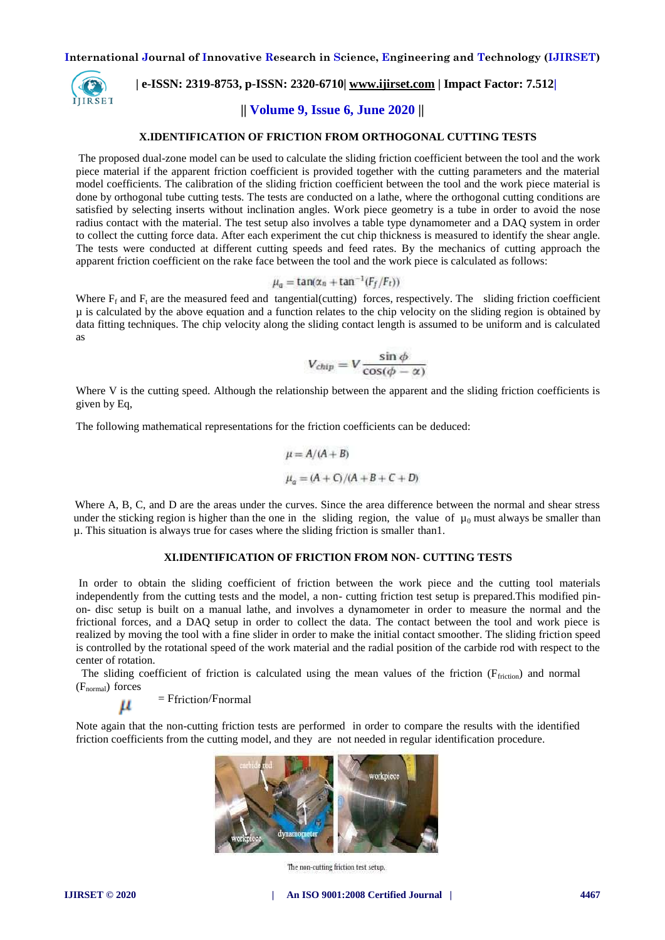

## **| e-ISSN: 2319-8753, p-ISSN: 2320-6710| [www.ijirset.com](http://www.ijirset.com/) | Impact Factor: 7.512|**

### **|| Volume 9, Issue 6, June 2020 ||**

#### **X.IDENTIFICATION OF FRICTION FROM ORTHOGONAL CUTTING TESTS**

The proposed dual-zone model can be used to calculate the sliding friction coefficient between the tool and the work piece material if the apparent friction coefficient is provided together with the cutting parameters and the material model coefficients. The calibration of the sliding friction coefficient between the tool and the work piece material is done by orthogonal tube cutting tests. The tests are conducted on a lathe, where the orthogonal cutting conditions are satisfied by selecting inserts without inclination angles. Work piece geometry is a tube in order to avoid the nose radius contact with the material. The test setup also involves a table type dynamometer and a DAQ system in order to collect the cutting force data. After each experiment the cut chip thickness is measured to identify the shear angle. The tests were conducted at different cutting speeds and feed rates. By the mechanics of cutting approach the apparent friction coefficient on the rake face between the tool and the work piece is calculated as follows:

$$
\mu_a = \tan(\alpha_n + \tan^{-1}(F_f/F_t))
$$

Where  $F_f$  and  $F_t$  are the measured feed and tangential(cutting) forces, respectively. The sliding friction coefficient µ is calculated by the above equation and a function relates to the chip velocity on the sliding region is obtained by data fitting techniques. The chip velocity along the sliding contact length is assumed to be uniform and is calculated as

$$
V_{chip} = V \frac{\sin \phi}{\cos(\phi - \alpha)}
$$

Where V is the cutting speed. Although the relationship between the apparent and the sliding friction coefficients is given by Eq,

The following mathematical representations for the friction coefficients can be deduced:

$$
\mu = A/(A + B)
$$
  

$$
\mu_a = (A + C)/(A + B + C + D)
$$

Where A, B, C, and D are the areas under the curves. Since the area difference between the normal and shear stress under the sticking region is higher than the one in the sliding region, the value of  $\mu_0$  must always be smaller than µ. This situation is always true for cases where the sliding friction is smaller than1.

#### **XI.IDENTIFICATION OF FRICTION FROM NON- CUTTING TESTS**

In order to obtain the sliding coefficient of friction between the work piece and the cutting tool materials independently from the cutting tests and the model, a non- cutting friction test setup is prepared.This modified pinon- disc setup is built on a manual lathe, and involves a dynamometer in order to measure the normal and the frictional forces, and a DAQ setup in order to collect the data. The contact between the tool and work piece is realized by moving the tool with a fine slider in order to make the initial contact smoother. The sliding friction speed is controlled by the rotational speed of the work material and the radial position of the carbide rod with respect to the center of rotation.

The sliding coefficient of friction is calculated using the mean values of the friction ( $F_{friction}$ ) and normal (Fnormal) forces

Ш

 $=$  Ffriction/Fnormal

Note again that the non-cutting friction tests are performed in order to compare the results with the identified friction coefficients from the cutting model, and they are not needed in regular identification procedure.



The non-cutting friction test setup.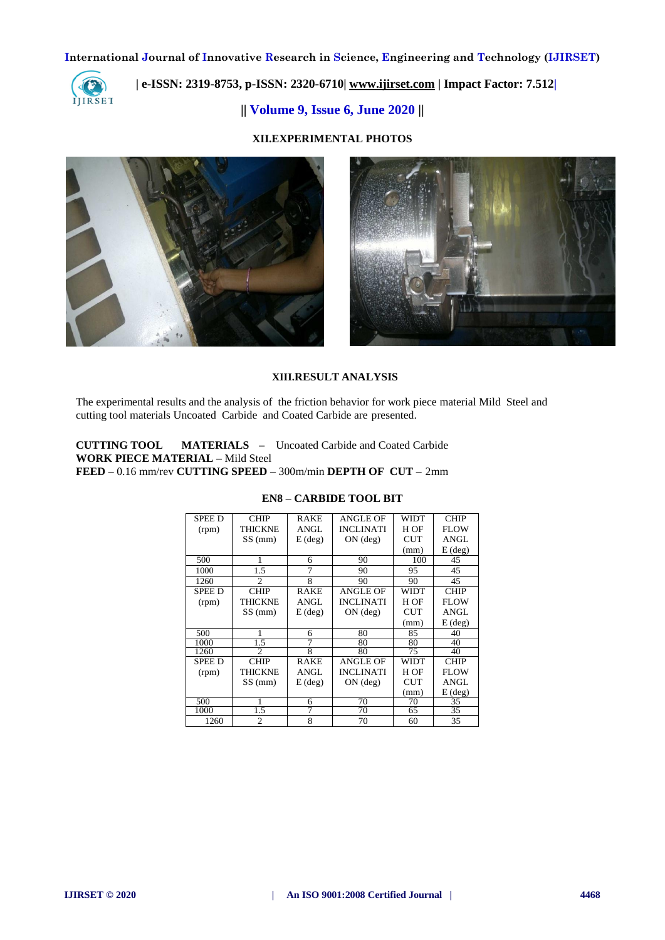

 **| e-ISSN: 2319-8753, p-ISSN: 2320-6710| [www.ijirset.com](http://www.ijirset.com/) | Impact Factor: 7.512|**

**|| Volume 9, Issue 6, June 2020 ||** 

## **XII.EXPERIMENTAL PHOTOS**





## **XIII.RESULT ANALYSIS**

The experimental results and the analysis of the friction behavior for work piece material Mild Steel and cutting tool materials Uncoated Carbide and Coated Carbide are presented.

**CUTTING TOOL MATERIALS –** Uncoated Carbide and Coated Carbide **WORK PIECE MATERIAL –** Mild Steel **FEED –** 0.16 mm/rev **CUTTING SPEED –** 300m/min **DEPTH OF CUT –** 2mm

| <b>SPEE D</b> | <b>CHIP</b>    | <b>RAKE</b> | <b>ANGLE OF</b>  | WIDT       | <b>CHIP</b>     |
|---------------|----------------|-------------|------------------|------------|-----------------|
| (rpm)         | THICKNE        | ANGL        | <b>INCLINATI</b> | H OF       | <b>FLOW</b>     |
|               | $SS$ (mm)      | $E$ (deg)   | $ON$ (deg)       | <b>CUT</b> | <b>ANGL</b>     |
|               |                |             |                  | (mm)       | $E$ (deg)       |
| 500           | 1              | 6           | 90               | 100        | 45              |
| 1000          | 1.5            | 7           | 90               | 95         | 45              |
| 1260          | $\mathfrak{D}$ | 8           | 90               | 90         | 45              |
| <b>SPEE D</b> | <b>CHIP</b>    | <b>RAKE</b> | <b>ANGLE OF</b>  | WIDT       | <b>CHIP</b>     |
| (rpm)         | THICKNE        | ANGL        | <b>INCLINATI</b> | H OF       | <b>FLOW</b>     |
|               | $SS \, (mm)$   | $E$ (deg)   | $ON$ (deg)       | <b>CUT</b> | ANGL            |
|               |                |             |                  |            |                 |
|               |                |             |                  |            |                 |
|               | 1              |             |                  | (mm)       | $E$ (deg)       |
| 500<br>1000   | 1.5            | 6           | 80<br>80         | 85<br>80   | 40<br>40        |
| 1260          | っ              | 8           | 80               | 75         | 40              |
| <b>SPEE D</b> | <b>CHIP</b>    | <b>RAKE</b> | <b>ANGLE OF</b>  | WIDT       | <b>CHIP</b>     |
| (rpm)         | <b>THICKNE</b> | ANGL        | <b>INCLINATI</b> | H OF       | <b>FLOW</b>     |
|               | $SS$ (mm)      | $E$ (deg)   | $ON$ (deg)       | <b>CUT</b> | ANGL            |
|               |                |             |                  | (mm)       |                 |
| 500           |                | 6           | 70               | 70         | $E$ (deg)<br>35 |
| 1000          | 1.5            | 7           | 70               | 65         | 35              |

## **EN8 – CARBIDE TOOL BIT**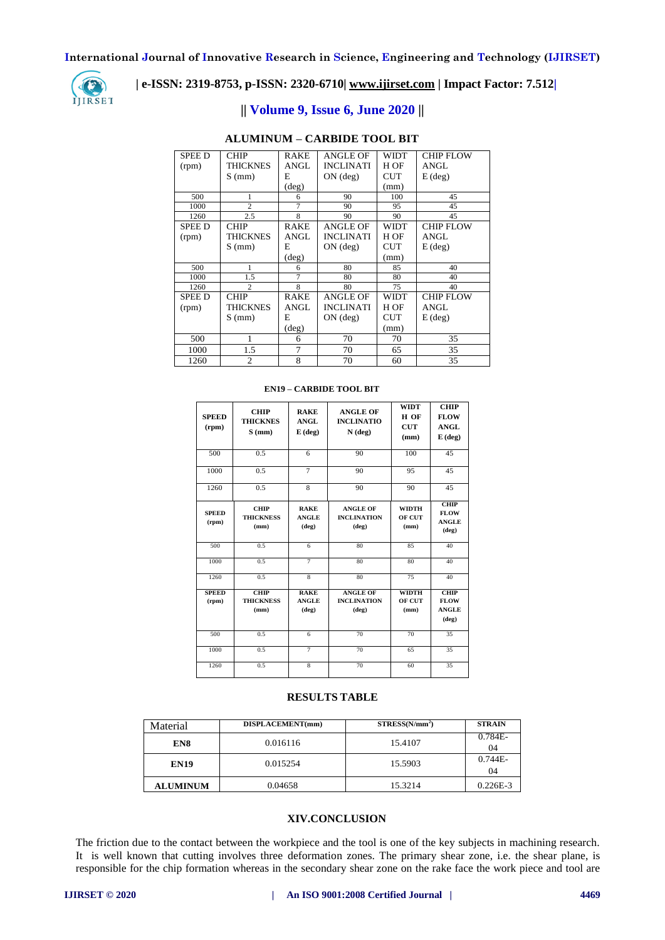

# **| e-ISSN: 2319-8753, p-ISSN: 2320-6710| [www.ijirset.com](http://www.ijirset.com/) | Impact Factor: 7.512|**

# **|| Volume 9, Issue 6, June 2020 ||**

| <b>SPEE D</b> | <b>CHIP</b>     | <b>RAKE</b>    | ANGLE OF         | <b>WIDT</b> | <b>CHIP FLOW</b> |
|---------------|-----------------|----------------|------------------|-------------|------------------|
| (rpm)         | <b>THICKNES</b> | ANGL           | <b>INCLINATI</b> | H OF        | ANGL             |
|               | $S$ (mm)        | E              | $ON$ (deg)       | <b>CUT</b>  | $E$ (deg)        |
|               |                 | $(\text{deg})$ |                  | (mm)        |                  |
| 500           |                 | 6              | 90               | 100         | 45               |
| 1000          | $\overline{c}$  | 7              | 90               | 95          | 45               |
| 1260          | 2.5             | 8              | 90               | 90          | 45               |
| <b>SPEE D</b> | <b>CHIP</b>     | <b>RAKE</b>    | <b>ANGLE OF</b>  | WIDT        | <b>CHIP FLOW</b> |
| (rpm)         | THICKNES        | ANGL           | <b>INCLINATI</b> | H OF        | ANGL             |
|               | $S$ (mm)        | E              | $ON$ (deg)       | <b>CUT</b>  | $E$ (deg)        |
|               |                 | $(\text{deg})$ |                  | (mm)        |                  |
| 500           |                 | 6              | 80               | 85          | 40               |
| 1000          | 1.5             | $\overline{7}$ | 80               | 80          | 40               |
| 1260          | $\overline{c}$  | 8              | 80               | 75          | 40               |
| <b>SPEE D</b> | <b>CHIP</b>     | <b>RAKE</b>    | <b>ANGLE OF</b>  | WIDT        | <b>CHIP FLOW</b> |
| (rpm)         | <b>THICKNES</b> | <b>ANGL</b>    | <b>INCLINATI</b> | H OF        | ANGL             |
|               | $S$ (mm)        | E              | $ON$ (deg)       | <b>CUT</b>  | $E$ (deg)        |
|               |                 | $(\text{deg})$ |                  | (mm)        |                  |
| 500           | 1               | 6              | 70               | 70          | 35               |
| 1000          | 1.5             | $\overline{7}$ | 70               | 65          | 35               |
| 1260          | $\overline{c}$  | 8              | 70               | 60          | 35               |

## **ALUMINUM – CARBIDE TOOL BIT**

| <b>SPEED</b><br>(rpm) | <b>CHIP</b><br><b>THICKNES</b><br>$S$ (mm) | <b>RAKE</b><br><b>ANGL</b><br>$E$ (deg)       | <b>ANGLE OF</b><br><b>INCLINATIO</b><br>$N$ (deg)       | <b>WIDT</b><br>H OF<br>$cur$<br>(mm) | <b>CHIP</b><br><b>FLOW</b><br><b>ANGL</b><br>$E$ (deg)       |
|-----------------------|--------------------------------------------|-----------------------------------------------|---------------------------------------------------------|--------------------------------------|--------------------------------------------------------------|
| 500                   | 0.5                                        | 6                                             | 90                                                      | 100                                  | 45                                                           |
| 1000                  | 0.5                                        | 7                                             | 90                                                      | 95                                   | 45                                                           |
| 1260                  | 0.5                                        | 8                                             | 90                                                      | 90                                   | 45                                                           |
| <b>SPEED</b><br>(rpm) | <b>CHIP</b><br><b>THICKNESS</b><br>(mm)    | <b>RAKE</b><br><b>ANGLE</b><br>$(\text{deg})$ | <b>ANGLE OF</b><br><b>INCLINATION</b><br>$(\text{deg})$ | <b>WIDTH</b><br>OF CUT<br>(mm)       | <b>CHIP</b><br><b>FLOW</b><br><b>ANGLE</b><br>$(\text{deg})$ |
| 500                   | 0.5                                        | 6                                             | 80                                                      | 85                                   | 40                                                           |
| 1000                  | 0.5                                        | 7                                             | 80                                                      | 80                                   | 40                                                           |
| 1260                  | 0.5                                        | 8                                             | 80                                                      | 75                                   | 40                                                           |
| <b>SPEED</b><br>(rpm) | <b>CHIP</b><br><b>THICKNESS</b><br>(mm)    | <b>RAKE</b><br><b>ANGLE</b><br>$(\text{deg})$ | <b>ANGLE OF</b><br><b>INCLINATION</b><br>$(\text{deg})$ | <b>WIDTH</b><br>OF CUT<br>(mm)       | <b>CHIP</b><br><b>FLOW</b><br><b>ANGLE</b><br>$(\text{deg})$ |
| 500                   | 0.5                                        | 6                                             | 70                                                      | 70                                   | 35                                                           |
| 1000                  | 0.5                                        | $\overline{7}$                                | 70                                                      | 65                                   | 35                                                           |
| 1260                  | 0.5                                        | $\overline{\mathbf{8}}$                       | 70                                                      | 60                                   | 35                                                           |

#### **EN19 – CARBIDE TOOL BIT**

## **RESULTS TABLE**

| Material        | DISPLACEMENT(mm) | STRESS(N/mm <sup>2</sup> ) | <b>STRAIN</b>    |
|-----------------|------------------|----------------------------|------------------|
| EN8             | 0.016116         | 15.4107                    | $0.784E -$<br>04 |
| <b>EN19</b>     | 0.015254         | 15.5903                    | $0.744E -$<br>04 |
| <b>ALUMINUM</b> | 0.04658          | 15.3214                    | $0.226E - 3$     |

#### **XIV.CONCLUSION**

The friction due to the contact between the workpiece and the tool is one of the key subjects in machining research. It is well known that cutting involves three deformation zones. The primary shear zone, i.e. the shear plane, is responsible for the chip formation whereas in the secondary shear zone on the rake face the work piece and tool are